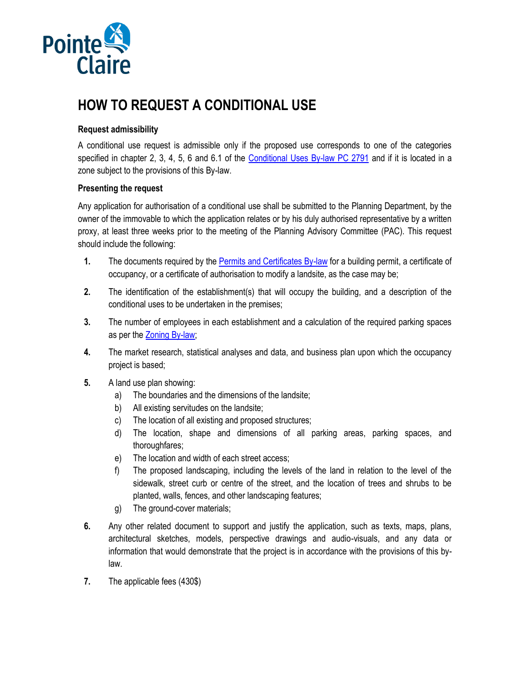

# **HOW TO REQUEST A CONDITIONAL USE**

## **Request admissibility**

A conditional use request is admissible only if the proposed use corresponds to one of the categories specified in chapter 2, 3, 4, 5, 6 and 6.1 of the [Conditional Uses By-law PC 2791](http://pointe-claire.ca/content/uploads/2016/05/Conditional_Uses-By-Law-PC-2791-7.pdf) and if it is located in a zone subject to the provisions of this By-law.

## **Presenting the request**

Any application for authorisation of a conditional use shall be submitted to the Planning Department, by the owner of the immovable to which the application relates or by his duly authorised representative by a written proxy, at least three weeks prior to the meeting of the Planning Advisory Committee (PAC). This request should include the following:

- **1.** The documents required by the [Permits and Certificates By-law](http://pointe-claire.ca/content/uploads/2016/05/Permits_certificates-1.pdf) for a building permit, a certificate of occupancy, or a certificate of authorisation to modify a landsite, as the case may be;
- **2.** The identification of the establishment(s) that will occupy the building, and a description of the conditional uses to be undertaken in the premises;
- **3.** The number of employees in each establishment and a calculation of the required parking spaces as per the [Zoning By-law;](http://pointe-claire.ca/content/uploads/2016/05/Zoning-2.pdf)
- **4.** The market research, statistical analyses and data, and business plan upon which the occupancy project is based;
- **5.** A land use plan showing:
	- a) The boundaries and the dimensions of the landsite;
	- b) All existing servitudes on the landsite;
	- c) The location of all existing and proposed structures;
	- d) The location, shape and dimensions of all parking areas, parking spaces, and thoroughfares;
	- e) The location and width of each street access;
	- f) The proposed landscaping, including the levels of the land in relation to the level of the sidewalk, street curb or centre of the street, and the location of trees and shrubs to be planted, walls, fences, and other landscaping features;
	- g) The ground-cover materials;
- **6.** Any other related document to support and justify the application, such as texts, maps, plans, architectural sketches, models, perspective drawings and audio-visuals, and any data or information that would demonstrate that the project is in accordance with the provisions of this bylaw.
- **7.** The applicable fees (430\$)